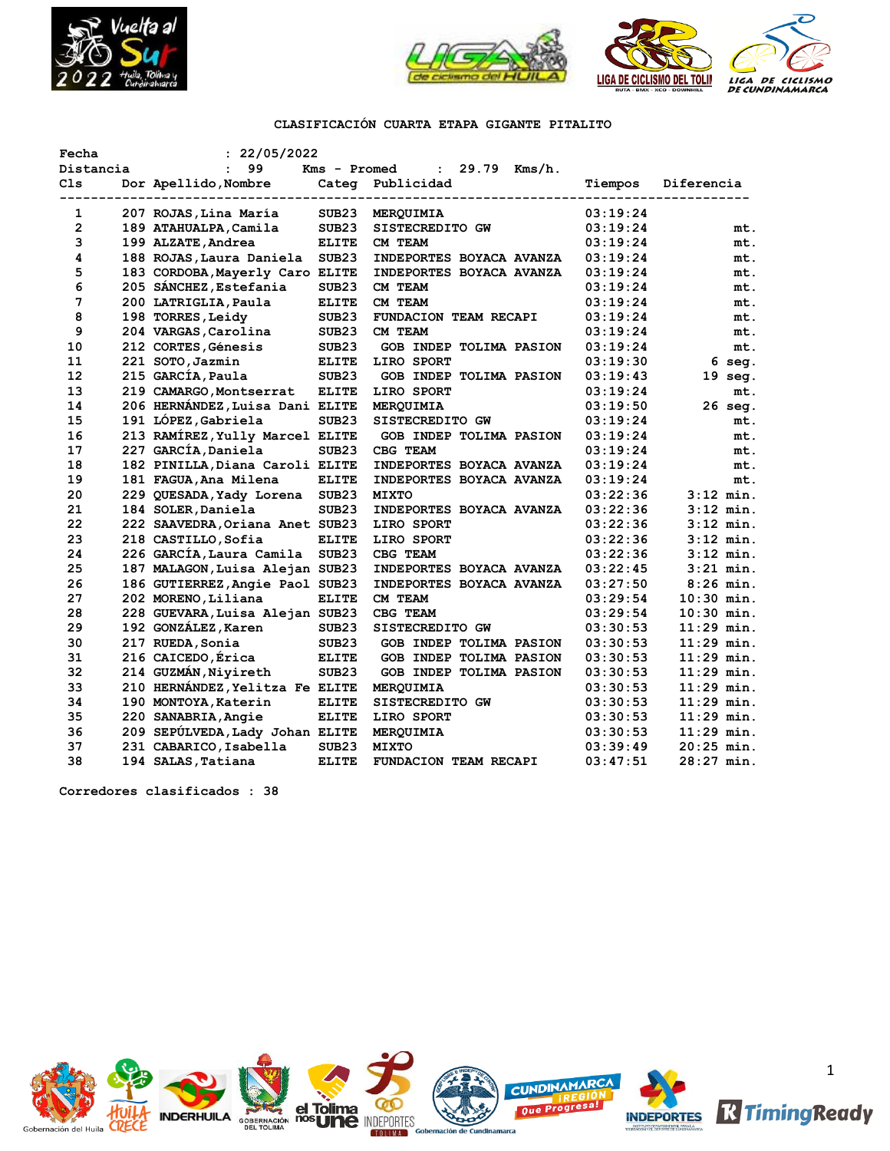



# **CLASIFICACIÓN CUARTA ETAPA GIGANTE PITALITO**

| Fecha          | : 22/05/2022                    |                   |                                 |          |              |
|----------------|---------------------------------|-------------------|---------------------------------|----------|--------------|
| Distancia      | 99<br>$\mathbf{r}$              | Kms - Promed      | $: 29.79$ Kms/h.                |          |              |
| C1s            | Dor Apellido, Nombre            | Categ             | Publicidad                      | Tiempos  | Diferencia   |
| --------       |                                 |                   | ----------------------          |          |              |
| 1              | 207 ROJAS, Lina María           | SUB23             | MERQUIMIA                       | 03:19:24 |              |
| $\overline{2}$ | 189 ATAHUALPA, Camila           | SUB <sub>23</sub> | SISTECREDITO GW                 | 03:19:24 | mt.          |
| 3              | 199 ALZATE, Andrea              | <b>ELITE</b>      | CM TEAM                         | 03:19:24 | mt.          |
| 4              | 188 ROJAS, Laura Daniela        | SUB <sub>23</sub> | INDEPORTES BOYACA AVANZA        | 03:19:24 | mt.          |
| 5              | 183 CORDOBA, Mayerly Caro ELITE |                   | <b>INDEPORTES BOYACA AVANZA</b> | 03:19:24 | mt.          |
| 6              | 205 SÁNCHEZ, Estefania          | SUB23             | CM TEAM                         | 03:19:24 | mt.          |
| 7              | 200 LATRIGLIA, Paula            | <b>ELITE</b>      | CM TEAM                         | 03:19:24 | mt.          |
| 8              | 198 TORRES, Leidy               | SUB23             | FUNDACION TEAM RECAPI           | 03:19:24 | mt.          |
| 9              | 204 VARGAS, Carolina            | SUB <sub>23</sub> | CM TEAM                         | 03:19:24 | mt.          |
| 10             | 212 CORTES, Génesis             | SUB <sub>23</sub> | GOB INDEP TOLIMA PASION         | 03:19:24 | mt.          |
| 11             | 221 SOTO, Jazmin                | <b>ELITE</b>      | LIRO SPORT                      | 03:19:30 | $6$ seq.     |
| 12             | 215 GARCÍA, Paula               | SUB <sub>23</sub> | GOB INDEP TOLIMA PASION         | 03:19:43 | $19$ seq.    |
| 13             | 219 CAMARGO, Montserrat         | <b>ELITE</b>      | LIRO SPORT                      | 03:19:24 | mt.          |
| 14             | 206 HERNÁNDEZ, Luisa Dani ELITE |                   | MERQUIMIA                       | 03:19:50 | 26 seg.      |
| 15             | 191 LÓPEZ, Gabriela             | SUB <sub>23</sub> | SISTECREDITO GW                 | 03:19:24 | mt.          |
| 16             | 213 RAMÍREZ, Yully Marcel ELITE |                   | GOB INDEP TOLIMA PASION         | 03:19:24 | mt.          |
| 17             | 227 GARCÍA, Daniela             | SUB <sub>23</sub> | CBG TEAM                        | 03:19:24 | mt.          |
| 18             | 182 PINILLA, Diana Caroli ELITE |                   | <b>INDEPORTES BOYACA AVANZA</b> | 03:19:24 | mt.          |
| 19             | 181 FAGUA, Ana Milena           | <b>ELITE</b>      | <b>INDEPORTES BOYACA AVANZA</b> | 03:19:24 | mt.          |
| 20             | 229 QUESADA, Yady Lorena SUB23  |                   | <b>MIXTO</b>                    | 03:22:36 | $3:12$ min.  |
| 21             | 184 SOLER, Daniela              | SUB <sub>23</sub> | INDEPORTES BOYACA AVANZA        | 03:22:36 | $3:12$ min.  |
| 22             | 222 SAAVEDRA, Oriana Anet SUB23 |                   | LIRO SPORT                      | 03:22:36 | $3:12$ min.  |
| 23             | 218 CASTILLO, Sofia             | <b>ELITE</b>      | LIRO SPORT                      | 03:22:36 | $3:12$ min.  |
| 24             | 226 GARCÍA, Laura Camila        | SUB <sub>23</sub> | CBG TEAM                        | 03:22:36 | $3:12$ min.  |
| 25             | 187 MALAGON, Luisa Alejan SUB23 |                   | INDEPORTES BOYACA AVANZA        | 03:22:45 | $3:21$ min.  |
| 26             | 186 GUTIERREZ, Angie Paol SUB23 |                   | INDEPORTES BOYACA AVANZA        | 03:27:50 | $8:26$ min.  |
| 27             | 202 MORENO, Liliana             | <b>ELITE</b>      | CM TEAM                         | 03:29:54 | $10:30$ min. |
| 28             | 228 GUEVARA, Luisa Alejan SUB23 |                   | CBG TEAM                        | 03:29:54 | $10:30$ min. |
| 29             | 192 GONZÁLEZ, Karen             | SUB <sub>23</sub> | SISTECREDITO GW                 | 03:30:53 | $11:29$ min. |
| 30             | 217 RUEDA, Sonia                | SUB <sub>23</sub> | <b>GOB INDEP TOLIMA PASION</b>  | 03:30:53 | $11:29$ min. |
| 31             | 216 CAICEDO, Érica              | <b>ELITE</b>      | GOB INDEP TOLIMA PASION         | 03:30:53 | $11:29$ min. |
| 32             | 214 GUZMÁN, Niyireth            | SUB <sub>23</sub> | <b>GOB INDEP TOLIMA PASION</b>  | 03:30:53 | $11:29$ min. |
| 33             | 210 HERNÁNDEZ, Yelitza Fe ELITE |                   | MERQUIMIA                       | 03:30:53 | $11:29$ min. |
| 34             | 190 MONTOYA, Katerin            | <b>ELITE</b>      | SISTECREDITO GW                 | 03:30:53 | $11:29$ min. |
| 35             | 220 SANABRIA, Angie             | <b>ELITE</b>      | LIRO SPORT                      | 03:30:53 | $11:29$ min. |
| 36             | 209 SEPÚLVEDA, Lady Johan ELITE |                   | MERQUIMIA                       | 03:30:53 | $11:29$ min. |
| 37             | 231 CABARICO, Isabella          | SUB <sub>23</sub> | <b>MIXTO</b>                    | 03:39:49 | $20:25$ min. |
| 38             | 194 SALAS, Tatiana              | <b>ELITE</b>      | FUNDACION TEAM RECAPI           | 03:47:51 | $28:27$ min. |

**Corredores clasificados : 38**

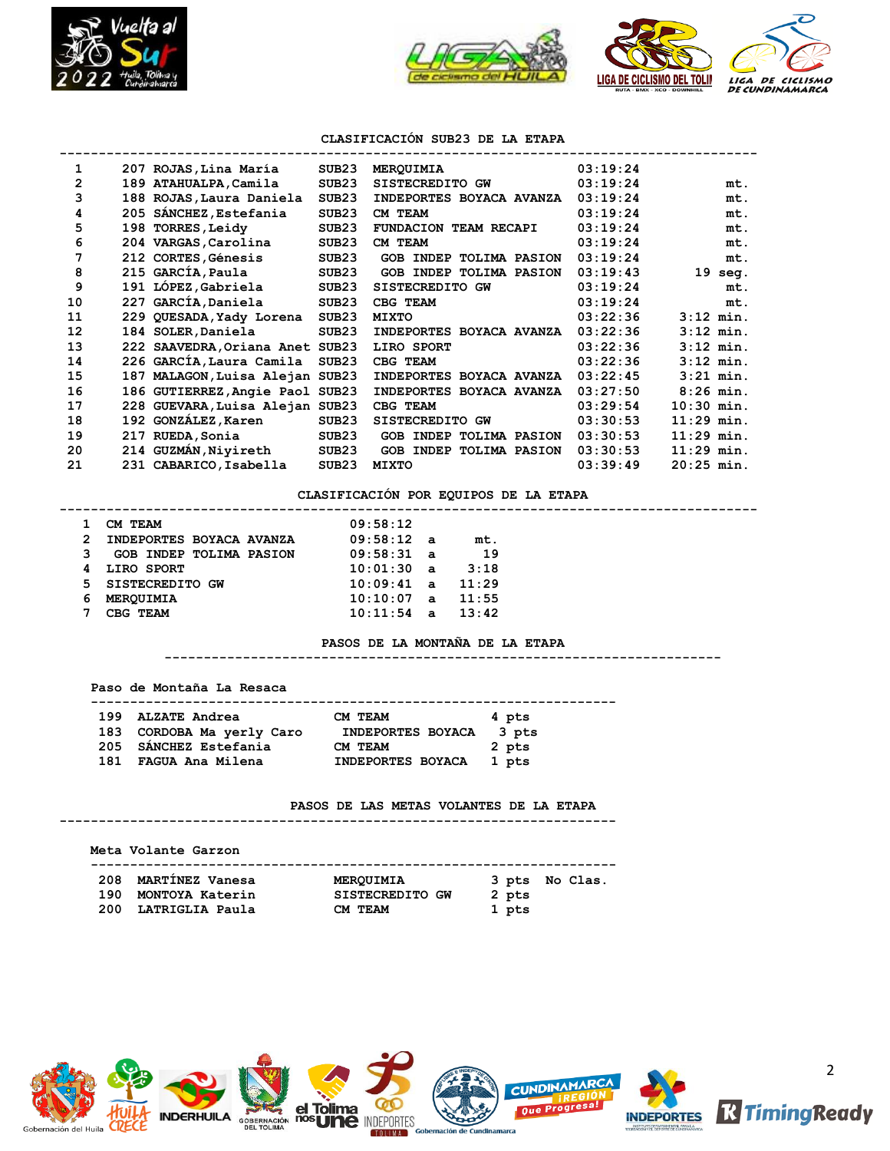



### **CLASIFICACIÓN SUB23 DE LA ETAPA**

| 1  |     | 207 ROJAS, Lina María           | SUB <sub>23</sub> | MERQUIMIA                      | 03:19:24 |                   |
|----|-----|---------------------------------|-------------------|--------------------------------|----------|-------------------|
| 2  |     | 189 ATAHUALPA, Camila           | SUB <sub>23</sub> | SISTECREDITO GW                | 03:19:24 | mt.               |
| 3  |     | 188 ROJAS, Laura Daniela        | SUB <sub>23</sub> | INDEPORTES BOYACA AVANZA       | 03:19:24 | mt.               |
| 4  |     | 205 SÁNCHEZ, Estefania          | SUB <sub>23</sub> | CM TEAM                        | 03:19:24 | mt.               |
| 5  |     | 198 TORRES, Leidy               | SUB <sub>23</sub> | FUNDACION TEAM RECAPI          | 03:19:24 | mt.               |
| 6  |     | 204 VARGAS, Carolina            | SUB <sub>23</sub> | CM TEAM                        | 03:19:24 | mt.               |
| 7  |     | 212 CORTES, Génesis             | SUB <sub>23</sub> | <b>GOB INDEP TOLIMA PASION</b> | 03:19:24 | mt.               |
| 8  |     | 215 GARCÍA, Paula               | SUB23             | <b>GOB INDEP TOLIMA PASION</b> | 03:19:43 | $19 \text{ seq.}$ |
| 9  |     | 191 LÓPEZ, Gabriela             | SUB <sub>23</sub> | SISTECREDITO GW                | 03:19:24 | mt.               |
| 10 |     | 227 GARCÍA, Daniela             | SUB <sub>23</sub> | CBG TEAM                       | 03:19:24 | mt.               |
| 11 |     | 229 QUESADA, Yady Lorena        | SUB <sub>23</sub> | <b>MIXTO</b>                   | 03:22:36 | $3:12$ min.       |
| 12 |     | 184 SOLER, Daniela              | SUB <sub>23</sub> | INDEPORTES BOYACA AVANZA       | 03:22:36 | $3:12$ min.       |
| 13 |     | 222 SAAVEDRA, Oriana Anet SUB23 |                   | LIRO SPORT                     | 03:22:36 | $3:12$ min.       |
| 14 |     | 226 GARCÍA, Laura Camila        | SUB <sub>23</sub> | CBG TEAM                       | 03:22:36 | $3:12$ min.       |
| 15 | 187 | MALAGON, Luisa Alejan SUB23     |                   | INDEPORTES BOYACA AVANZA       | 03:22:45 | $3:21$ min.       |
| 16 |     | 186 GUTIERREZ, Angie Paol SUB23 |                   | INDEPORTES BOYACA AVANZA       | 03:27:50 | $8:26$ min.       |
| 17 |     | 228 GUEVARA, Luisa Alejan SUB23 |                   | CBG TEAM                       | 03:29:54 | $10:30$ min.      |
| 18 |     | 192 GONZÁLEZ, Karen             | SUB23             | SISTECREDITO GW                | 03:30:53 | $11:29$ min.      |
| 19 | 217 | RUEDA, Sonia                    | SUB23             | <b>GOB INDEP TOLIMA PASION</b> | 03:30:53 | $11:29$ min.      |
| 20 |     | 214 GUZMÁN, Niyireth            | SUB <sub>23</sub> | <b>GOB INDEP TOLIMA PASION</b> | 03:30:53 | $11:29$ min.      |
| 21 |     | 231 CABARICO, Isabella          | SUB <sub>23</sub> | <b>MIXTO</b>                   | 03:39:49 | 20:25 min.        |

### **CLASIFICACIÓN POR EQUIPOS DE LA ETAPA**

#### **-----------------------------------------------------------------------------------------**

|   | CM TEAM                        | 09:58:12     |              |       |
|---|--------------------------------|--------------|--------------|-------|
| 2 | INDEPORTES BOYACA AVANZA       | $09:58:12$ a |              | mt.   |
| 3 | <b>GOB INDEP TOLIMA PASION</b> | 09:58:31 a   |              | 19    |
|   | LIRO SPORT                     | 10:01:30a    |              | 3:18  |
|   | 5 SISTECREDITO GW              | $10:09:41$ a |              | 11:29 |
| 6 | MEROUIMIA                      | 10:10:07     | $\mathbf{a}$ | 11:55 |
|   | CBG TEAM                       | 10:11:54     | $\mathbf{a}$ | 13:42 |

### **PASOS DE LA MONTAÑA DE LA ETAPA**

**-----------------------------------------------------------------------**

 **Paso de Montaña La Resaca**

 **-------------------------------------------------------------------**

| 199 ALZATE Andrea         | CM TEAM                  | 4 pts |
|---------------------------|--------------------------|-------|
| 183 CORDOBA Ma yerly Caro | <b>INDEPORTES BOYACA</b> | 3 pts |
| 205 SÁNCHEZ Estefania     | CM TEAM                  | 2 pts |
| 181 FAGUA Ana Milena      | <b>INDEPORTES BOYACA</b> | 1 pts |

### **PASOS DE LAS METAS VOLANTES DE LA ETAPA**

**-----------------------------------------------------------------------**

|     | Meta Volante Garzon                        |                              |                         |  |
|-----|--------------------------------------------|------------------------------|-------------------------|--|
|     | 208 MARTÍNEZ Vanesa<br>190 MONTOYA Katerin | MEROUIMIA<br>SISTECREDITO GW | 3 pts No Clas.<br>2 pts |  |
| 200 | LATRIGLIA Paula                            | CM TEAM                      | 1 pts                   |  |

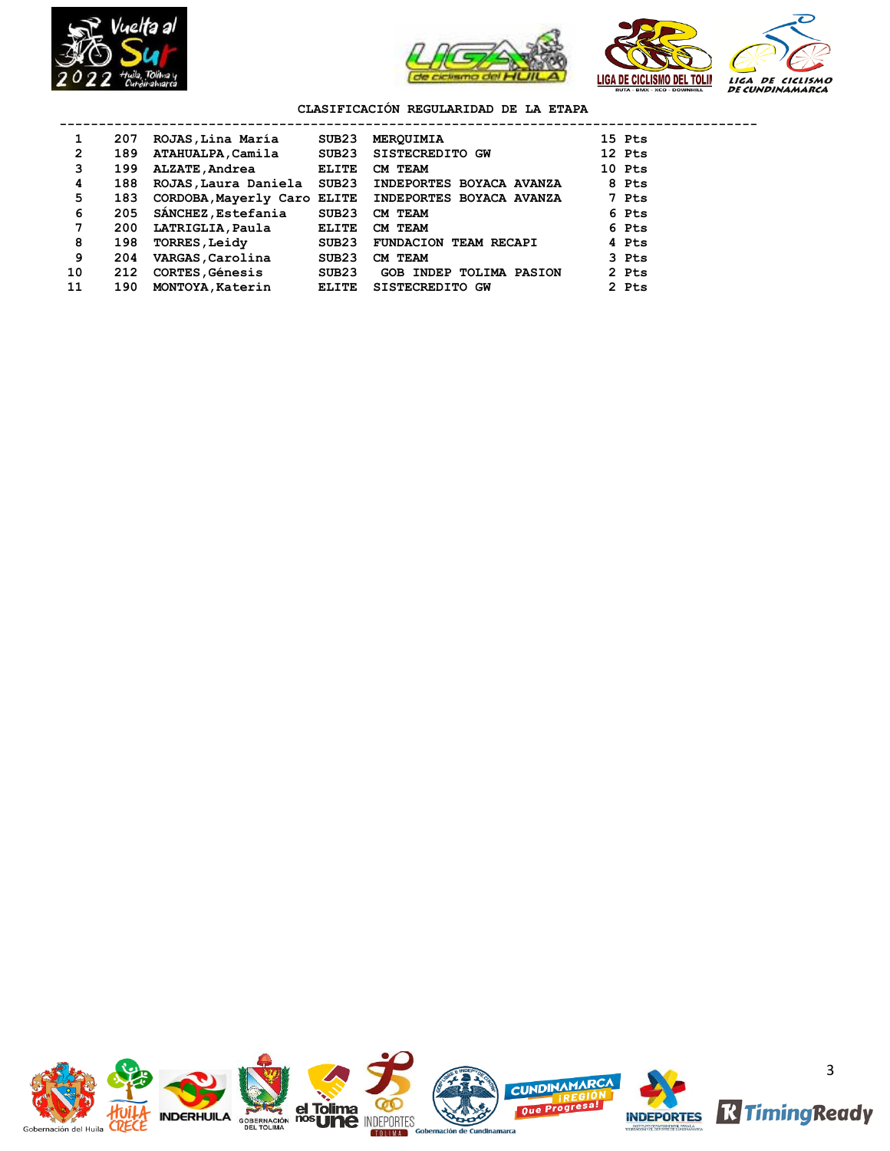



# **CLASIFICACIÓN REGULARIDAD DE LA ETAPA**

| 1              | 207 | ROJAS, Lina María           | SUB <sub>23</sub> | <b>MEROUIMIA</b>               | 15 Pts |
|----------------|-----|-----------------------------|-------------------|--------------------------------|--------|
| $\overline{2}$ | 189 | ATAHUALPA, Camila           | SUB23             | SISTECREDITO GW                | 12 Pts |
| 3              | 199 | <b>ALZATE , Andrea</b>      | <b>ELITE</b>      | CM TEAM                        | 10 Pts |
| 4              | 188 | ROJAS, Laura Daniela SUB23  |                   | INDEPORTES BOYACA AVANZA       | 8 Pts  |
| 5              | 183 | CORDOBA, Mayerly Caro ELITE |                   | INDEPORTES BOYACA AVANZA       | 7 Pts  |
| 6              | 205 | SANCHEZ, Estefania          | SUB23             | CM TEAM                        | 6 Pts  |
| 7              | 200 | LATRIGLIA, Paula            | <b>ELITE</b>      | CM TEAM                        | 6 Pts  |
| 8              | 198 | <b>TORRES, Leidy</b>        | SUB23             | <b>FUNDACION TEAM RECAPI</b>   | 4 Pts  |
| 9              | 204 | VARGAS, Carolina            | SUB23             | CM TEAM                        | 3 Pts  |
| 10             | 212 | <b>CORTES, Génesis</b>      | SUB23             | <b>GOB INDEP TOLIMA PASION</b> | 2 Pts  |
| 11             | 190 | MONTOYA, Katerin            | <b>ELITE</b>      | SISTECREDITO GW                | 2 Pts  |

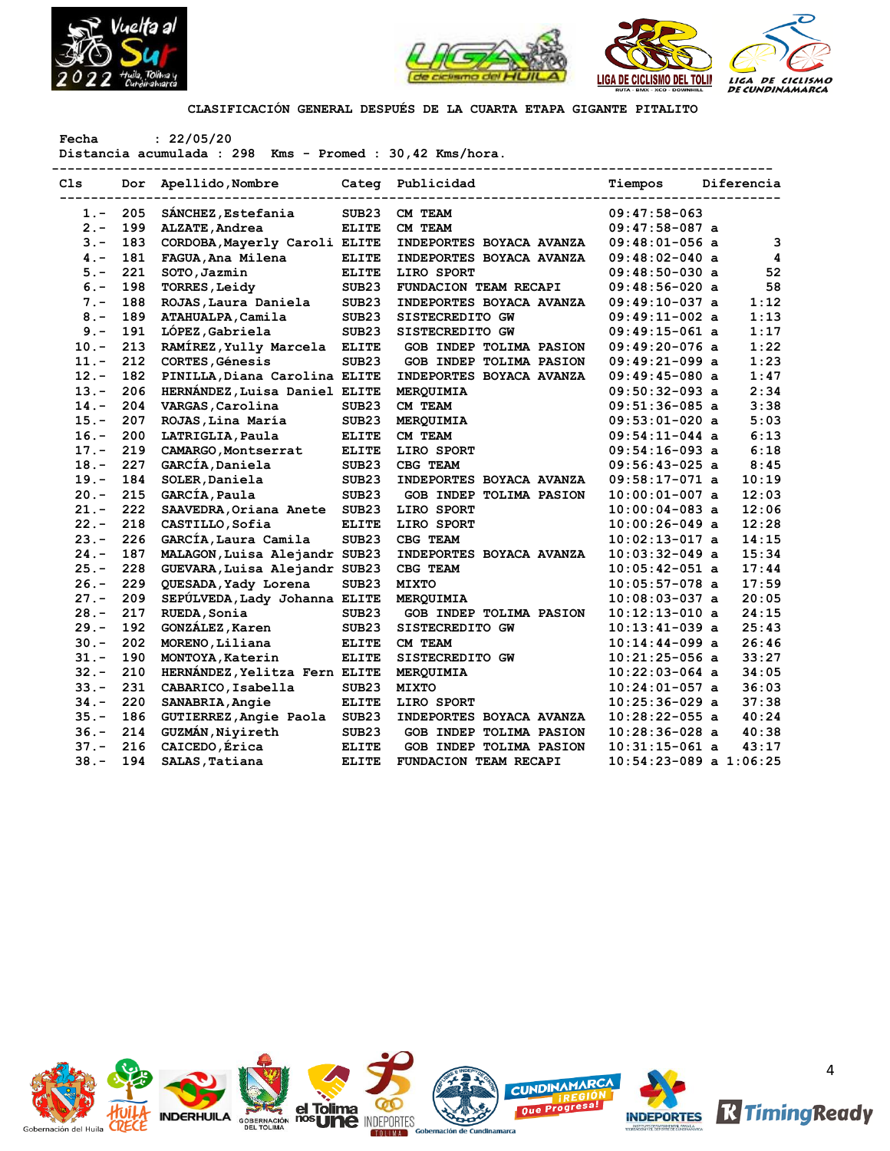



**CLASIFICACIÓN GENERAL DESPUÉS DE LA CUARTA ETAPA GIGANTE PITALITO**

**Fecha : 22/05/20**

**Distancia acumulada : 298 Kms - Promed : 30,42 Kms/hora.**

| C1s     | Dor | Apellido, Nombre              |                   | Categ Publicidad               | Tiempos                    | Diferencia |
|---------|-----|-------------------------------|-------------------|--------------------------------|----------------------------|------------|
| $1 -$   | 205 | SÁNCHEZ, Estefania            | SUB <sub>23</sub> | CM TEAM                        | $09:47:58-063$             |            |
| $2 -$   | 199 | ALZATE, Andrea                | <b>ELITE</b>      | CM TEAM                        | $09:47:58-087$ a           |            |
| $3 -$   | 183 | CORDOBA, Mayerly Caroli ELITE |                   | INDEPORTES BOYACA AVANZA       | $09:48:01-056$ a           | 3          |
| $4 -$   | 181 | FAGUA, Ana Milena             | <b>ELITE</b>      | INDEPORTES BOYACA AVANZA       | 09:48:02-040 a             | 4          |
| $5. -$  | 221 | SOTO, Jazmin                  | <b>ELITE</b>      | LIRO SPORT                     | $09:48:50-030$ a           | 52         |
| $6. -$  | 198 | <b>TORRES, Leidy</b>          | SUB <sub>23</sub> | FUNDACION TEAM RECAPI          | $09:48:56-020$ a           | 58         |
| $7 -$   | 188 | ROJAS, Laura Daniela          | SUB23             | INDEPORTES BOYACA AVANZA       | $09:49:10-037$ a           | 1:12       |
| $8 -$   | 189 | ATAHUALPA, Camila             | SUB <sub>23</sub> | SISTECREDITO GW                | 09:49:11-002 a             | 1:13       |
| $9 -$   | 191 | LÓPEZ, Gabriela               | SUB <sub>23</sub> | SISTECREDITO GW                | $09:49:15-061$ a           | 1:17       |
| $10. -$ | 213 | RAMÍREZ, Yully Marcela        | <b>ELITE</b>      | GOB INDEP TOLIMA PASION        | $09:49:20-076$ a           | 1:22       |
| $11. -$ | 212 | CORTES, Génesis               | SUB23             | GOB INDEP TOLIMA PASION        | $09:49:21-099$ a           | 1:23       |
| $12 -$  | 182 | PINILLA, Diana Carolina ELITE |                   | INDEPORTES BOYACA AVANZA       | 09:49:45-080 a             | 1:47       |
| $13. -$ | 206 | HERNÁNDEZ, Luisa Daniel ELITE |                   | MERQUIMIA                      | $09:50:32-093$ a           | 2:34       |
| $14. -$ | 204 | VARGAS, Carolina              | SUB <sub>23</sub> | CM TEAM                        | $09:51:36-085$ a           | 3:38       |
| $15. -$ | 207 | ROJAS, Lina María             | SUB23             | MERQUIMIA                      | $09:53:01-020$ a           | 5:03       |
| $16. -$ | 200 | LATRIGLIA, Paula              | <b>ELITE</b>      | CM TEAM                        | $09:54:11-044$ a           | 6:13       |
| $17. -$ | 219 | CAMARGO, Montserrat           | <b>ELITE</b>      | LIRO SPORT                     | $09:54:16-093$ a           | 6:18       |
| $18. -$ | 227 | GARCÍA, Daniela               | SUB <sub>23</sub> | CBG TEAM                       | $09:56:43-025$ a           | 8:45       |
| $19. -$ | 184 | SOLER, Daniela                | SUB <sub>23</sub> | INDEPORTES BOYACA AVANZA       | $09:58:17-071$ a           | 10:19      |
| $20 -$  | 215 | GARCIA, Paula                 | SUB23             | <b>GOB INDEP TOLIMA PASION</b> | $10:00:01-007$ a           | 12:03      |
| $21. -$ | 222 | SAAVEDRA, Oriana Anete        | SUB <sub>23</sub> | LIRO SPORT                     | $10:00:04-083$ a           | 12:06      |
| $22 -$  | 218 | CASTILLO, Sofia               | <b>ELITE</b>      | LIRO SPORT                     | $10:00:26-049$ a           | 12:28      |
| $23. -$ | 226 | GARCÍA, Laura Camila          | SUB23             | CBG TEAM                       | $10:02:13-017$ a           | 14:15      |
| $24. -$ | 187 | MALAGON, Luisa Alejandr SUB23 |                   | INDEPORTES BOYACA AVANZA       | $10:03:32-049$ a           | 15:34      |
| $25. -$ | 228 | GUEVARA, Luisa Alejandr SUB23 |                   | CBG TEAM                       | 10:05:42-051 a             | 17:44      |
| $26. -$ | 229 | QUESADA, Yady Lorena          | SUB <sub>23</sub> | <b>MIXTO</b>                   | $10:05:57-078$ a           | 17:59      |
| $27 -$  | 209 | SEPÚLVEDA, Lady Johanna ELITE |                   | MERQUIMIA                      | $10:08:03-037$ a           | 20:05      |
| $28. -$ | 217 | RUEDA, Sonia                  | SUB23             | GOB INDEP TOLIMA PASION        | $10:12:13-010$ a           | 24:15      |
| $29. -$ | 192 | GONZÁLEZ, Karen               | SUB <sub>23</sub> | SISTECREDITO GW                | 10:13:41-039 a             | 25:43      |
| $30 -$  | 202 | MORENO, Liliana               | <b>ELITE</b>      | CM TEAM                        | 10:14:44-099 a             | 26:46      |
| $31 -$  | 190 | MONTOYA, Katerin              | <b>ELITE</b>      | SISTECREDITO GW                | $10:21:25-056$ a           | 33:27      |
| $32 -$  | 210 | HERNÁNDEZ, Yelitza Fern ELITE |                   | MERQUIMIA                      | $10:22:03-064$ a           | 34:05      |
| $33 -$  | 231 | CABARICO, Isabella            | SUB <sub>23</sub> | <b>MIXTO</b>                   | 10:24:01-057 a             | 36:03      |
| $34. -$ | 220 | SANABRIA, Angie               | <b>ELITE</b>      | LIRO SPORT                     | $10:25:36-029$ a           | 37:38      |
| $35. -$ | 186 | GUTIERREZ, Angie Paola        | SUB <sub>23</sub> | INDEPORTES BOYACA AVANZA       | $10:28:22-055$ a           | 40:24      |
| $36. -$ | 214 | GUZMÁN, Nivireth              | SUB <sub>23</sub> | <b>GOB INDEP TOLIMA PASION</b> | $10:28:36-028$ a           | 40:38      |
| $37 -$  | 216 | CAICEDO, Érica                | <b>ELITE</b>      | GOB INDEP TOLIMA PASION        | $10:31:15-061$ a           | 43:17      |
| $38. -$ | 194 | SALAS, Tatiana                | <b>ELITE</b>      | FUNDACION TEAM RECAPI          | $10:54:23-089$ a $1:06:25$ |            |
|         |     |                               |                   |                                |                            |            |

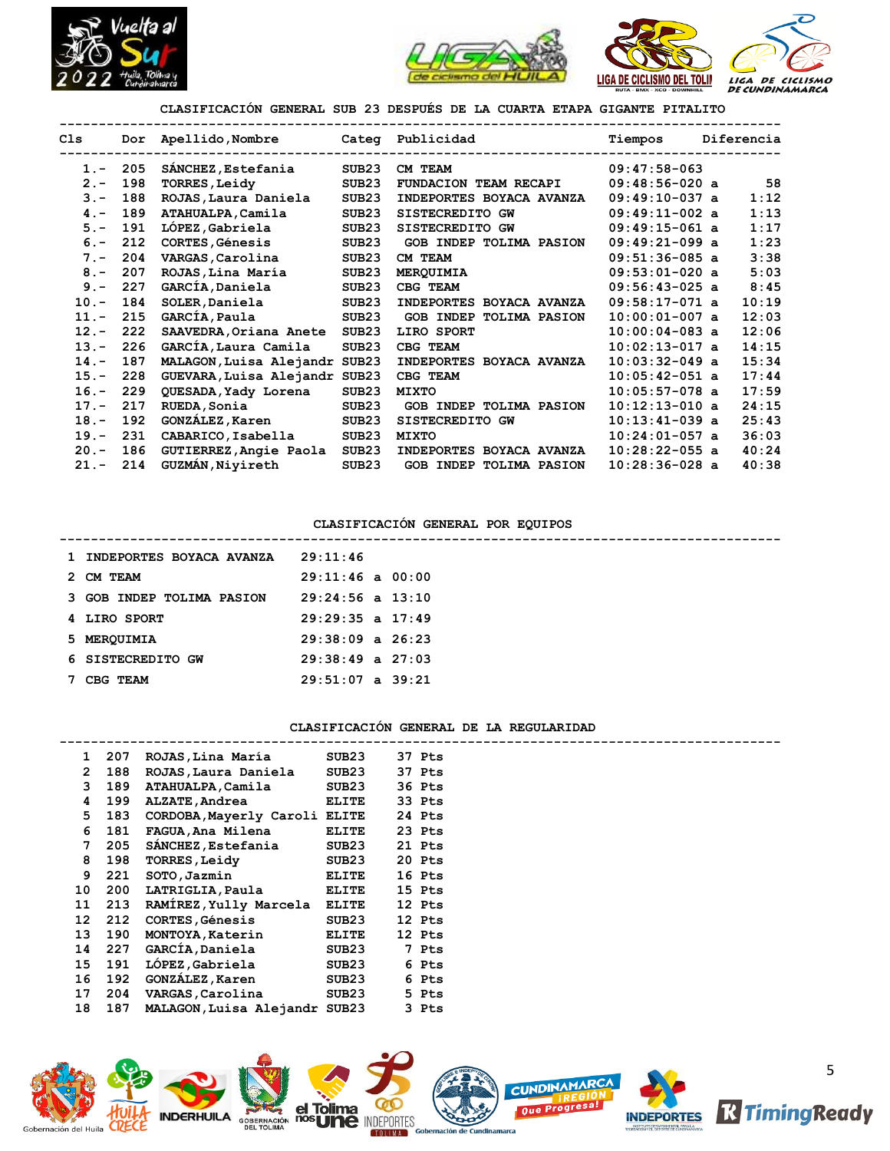



**--------------------------------------------------------------------------------------------**

**CLASIFICACIÓN GENERAL SUB 23 DESPUÉS DE LA CUARTA ETAPA GIGANTE PITALITO**

| Cls     | Dor | Apellido, Nombre              |                   | Categ Publicidad                  | Tiempos          | Diferencia |
|---------|-----|-------------------------------|-------------------|-----------------------------------|------------------|------------|
| $1 -$   | 205 | SÁNCHEZ, Estefania            | SUB <sub>23</sub> | CM TEAM                           | $09:47:58-063$   |            |
| $2 -$   | 198 | <b>TORRES, Leidy</b>          | SUB <sub>23</sub> | FUNDACION TEAM RECAPI             | $09:48:56-020$ a | 58         |
| $3 -$   | 188 | ROJAS, Laura Daniela          | SUB <sub>23</sub> | INDEPORTES BOYACA AVANZA          | $09:49:10-037$ a | 1:12       |
| $4 -$   | 189 | ATAHUALPA, Camila             | SUB <sub>23</sub> | SISTECREDITO GW                   | $09:49:11-002$ a | 1:13       |
| $5. -$  | 191 | LÓPEZ, Gabriela               | SUB <sub>23</sub> | SISTECREDITO GW                   | $09:49:15-061$ a | 1:17       |
| $6. -$  | 212 | CORTES, Génesis               | SUB <sub>23</sub> | <b>GOB INDEP TOLIMA PASION</b>    | $09:49:21-099$ a | 1:23       |
| $7 -$   | 204 | VARGAS, Carolina              | SUB <sub>23</sub> | CM TEAM                           | $09:51:36-085$ a | 3:38       |
| $8 -$   | 207 | ROJAS, Lina María             | SUB <sub>23</sub> | MERQUIMIA                         | $09:53:01-020$ a | 5:03       |
| $9 -$   | 227 | GARCÍA, Daniela               | SUB <sub>23</sub> | CBG TEAM                          | $09:56:43-025$ a | 8:45       |
| $10. -$ | 184 | SOLER, Daniela                | SUB <sub>23</sub> | INDEPORTES BOYACA AVANZA          | $09:58:17-071$ a | 10:19      |
| $11. -$ | 215 | GARCÍA, Paula                 | SUB <sub>23</sub> | <b>GOB INDEP TOLIMA PASION</b>    | $10:00:01-007$ a | 12:03      |
| $12 -$  | 222 | SAAVEDRA, Oriana Anete        | SUB <sub>23</sub> | LIRO SPORT                        | $10:00:04-083$ a | 12:06      |
| $13. -$ | 226 | GARCÍA, Laura Camila          | SUB <sub>23</sub> | CBG TEAM                          | $10:02:13-017$ a | 14:15      |
| $14. -$ | 187 | MALAGON, Luisa Alejandr SUB23 |                   | INDEPORTES BOYACA AVANZA          | $10:03:32-049$ a | 15:34      |
| $15. -$ | 228 | GUEVARA, Luisa Alejandr SUB23 |                   | CBG TEAM                          | $10:05:42-051$ a | 17:44      |
| $16. -$ | 229 | QUESADA, Yady Lorena          | SUB <sub>23</sub> | <b>MIXTO</b>                      | $10:05:57-078$ a | 17:59      |
| $17. -$ | 217 | RUEDA, Sonia                  | SUB <sub>23</sub> | INDEP TOLIMA PASION<br><b>GOB</b> | $10:12:13-010$ a | 24:15      |
| $18. -$ | 192 | GONZÁLEZ, Karen               | SUB <sub>23</sub> | SISTECREDITO GW                   | $10:13:41-039$ a | 25:43      |
| $19. -$ | 231 | CABARICO, Isabella            | SUB <sub>23</sub> | <b>MIXTO</b>                      | $10:24:01-057$ a | 36:03      |
| $20 -$  | 186 | GUTIERREZ, Angie Paola        | SUB <sub>23</sub> | INDEPORTES BOYACA AVANZA          | $10:28:22-055$ a | 40:24      |
| $21 -$  | 214 | GUZMÁN, Niyireth              | SUB <sub>23</sub> | <b>GOB INDEP TOLIMA PASION</b>    | $10:28:36-028$ a | 40:38      |

#### **CLASIFICACIÓN GENERAL POR EQUIPOS --------------------------------------------------------------------------------------------**

| 1 INDEPORTES BOYACA AVANZA | 29:11:46             |
|----------------------------|----------------------|
| 2 CM TEAM                  | $29:11:46$ a $00:00$ |
| 3 GOB INDEP TOLIMA PASION  | $29:24:56$ a $13:10$ |
| 4 LIRO SPORT               | $29:29:35$ a $17:49$ |
| 5 MEROUIMIA                | $29:38:09$ a $26:23$ |
| 6 SISTECREDITO GW          | $29:38:49$ a $27:03$ |
| CBG.<br>TEAM               | $29:51:07$ a $39:21$ |

## **CLASIFICACIÓN GENERAL DE LA REGULARIDAD**

| 1  | 207 | ROJAS, Lina María       | SUB <sub>23</sub> |   | 37 Pts |
|----|-----|-------------------------|-------------------|---|--------|
| 2  | 188 | ROJAS, Laura Daniela    | SUB <sub>23</sub> |   | 37 Pts |
| 3  | 189 | ATAHUALPA, Camila       | SUB <sub>23</sub> |   | 36 Pts |
| 4  | 199 | ALZATE, Andrea          | <b>ELITE</b>      |   | 33 Pts |
| 5  | 183 | CORDOBA, Mayerly Caroli | <b>ELITE</b>      |   | 24 Pts |
| 6  | 181 | FAGUA, Ana Milena       | <b>ELITE</b>      |   | 23 Pts |
| 7  | 205 | SANCHEZ, Estefania      | SUB <sub>23</sub> |   | 21 Pts |
| 8  | 198 | <b>TORRES, Leidy</b>    | SUB <sub>23</sub> |   | 20 Pts |
| 9  | 221 | SOTO, Jazmin            | <b>ELITE</b>      |   | 16 Pts |
| 10 | 200 | LATRIGLIA, Paula        | <b>ELITE</b>      |   | 15 Pts |
| 11 | 213 | RAMÍREZ, Yully Marcela  | ELITE             |   | 12 Pts |
| 12 | 212 | <b>CORTES, Génesis</b>  | SUB <sub>23</sub> |   | 12 Pts |
| 13 | 190 | MONTOYA, Katerin        | <b>ELITE</b>      |   | 12 Pts |
| 14 | 227 | GARCÍA, Daniela         | SUB <sub>23</sub> | 7 | Pts    |
| 15 | 191 | LOPEZ, Gabriela         | SUB <sub>23</sub> | 6 | Pts    |
| 16 | 192 | <b>GONZÁLEZ, Karen</b>  | SUB <sub>23</sub> | 6 | Pts    |
| 17 | 204 | VARGAS, Carolina        | SUB <sub>23</sub> |   | 5 Pts  |
| 18 | 187 | MALAGON,Luisa Alejandr  | SUB <sub>23</sub> |   | 3 Pts  |

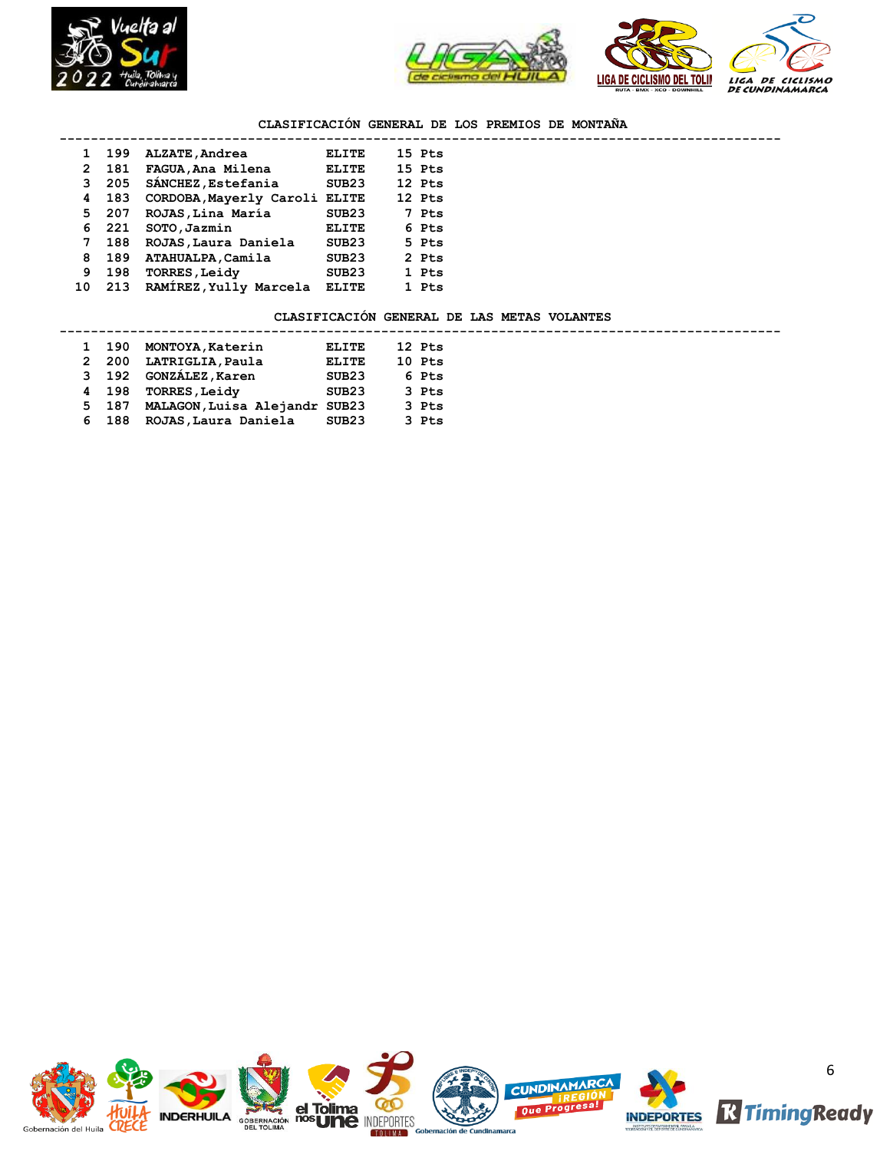



## **CLASIFICACIÓN GENERAL DE LOS PREMIOS DE MONTAÑA**

|              | 199   | ALZATE, Andrea                | ELITE             | 15 Pts |  |
|--------------|-------|-------------------------------|-------------------|--------|--|
| $\mathbf{2}$ | 181   | FAGUA, Ana Milena             | <b>ELITE</b>      | 15 Pts |  |
| 3            | 205   | SANCHEZ, Estefania            | SUB <sub>23</sub> | 12 Pts |  |
| 4            | 183   | CORDOBA, Mayerly Caroli ELITE |                   | 12 Pts |  |
|              | 5 207 | ROJAS, Lina María             | SUB23             | 7 Pts  |  |
|              | 6 221 | SOTO, Jazmin                  | <b>ELITE</b>      | 6 Pts  |  |
| 7            | 188   | ROJAS, Laura Daniela          | SUB <sub>23</sub> | 5 Pts  |  |
| 8            | 189   | ATAHUALPA, Camila             | SUB <sub>23</sub> | 2 Pts  |  |
| 9            | 198   | <b>TORRES, Leidy</b>          | SUB <sub>23</sub> | 1 Pts  |  |
| 10           | 213   | RAMÍREZ, Yully Marcela        | ELITE             | 1 Pts  |  |

### **CLASIFICACIÓN GENERAL DE LAS METAS VOLANTES**

| 1 190 | MONTOYA, Katerin       | <b>ELITE</b>     |                               | 12 Pts |
|-------|------------------------|------------------|-------------------------------|--------|
| 2 200 |                        | <b>ELITE</b>     |                               | 10 Pts |
| 3 192 | <b>GONZÁLEZ, Karen</b> | SUB23            |                               | 6 Pts  |
| 4 198 | <b>TORRES, Leidy</b>   | SUB23            |                               | 3 Pts  |
| 5 187 |                        |                  |                               | 3 Pts  |
| 6 188 | ROJAS, Laura Daniela   | SUB23            |                               | 3 Pts  |
|       |                        | LATRIGLIA, Paula | MALAGON, Luisa Alejandr SUB23 |        |